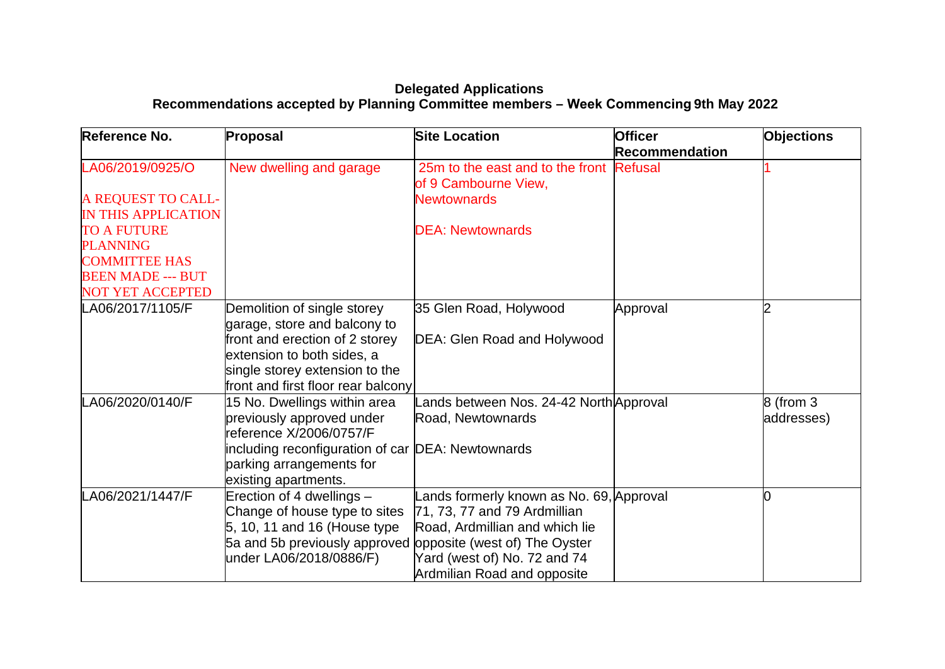## **Delegated Applications Recommendations accepted by Planning Committee members – Week Commencing 9th May 2022**

| Reference No.              | Proposal                                                    | <b>Site Location</b>                                     | <b>Officer</b><br><b>Recommendation</b> | <b>Objections</b> |
|----------------------------|-------------------------------------------------------------|----------------------------------------------------------|-----------------------------------------|-------------------|
| LA06/2019/0925/O           | New dwelling and garage                                     | 25m to the east and to the front<br>of 9 Cambourne View, | <b>Refusal</b>                          |                   |
| A REQUEST TO CALL-         |                                                             | <b>Newtownards</b>                                       |                                         |                   |
| <b>IN THIS APPLICATION</b> |                                                             |                                                          |                                         |                   |
| <b>TO A FUTURE</b>         |                                                             | <b>DEA: Newtownards</b>                                  |                                         |                   |
| <b>PLANNING</b>            |                                                             |                                                          |                                         |                   |
| <b>COMMITTEE HAS</b>       |                                                             |                                                          |                                         |                   |
| <b>BEEN MADE --- BUT</b>   |                                                             |                                                          |                                         |                   |
| <b>NOT YET ACCEPTED</b>    |                                                             |                                                          |                                         |                   |
| LA06/2017/1105/F           | Demolition of single storey                                 | 35 Glen Road, Holywood                                   | Approval                                | $\overline{2}$    |
|                            | garage, store and balcony to                                |                                                          |                                         |                   |
|                            | front and erection of 2 storey                              | DEA: Glen Road and Holywood                              |                                         |                   |
|                            | extension to both sides, a                                  |                                                          |                                         |                   |
|                            | single storey extension to the                              |                                                          |                                         |                   |
|                            | front and first floor rear balcony                          |                                                          |                                         |                   |
| LA06/2020/0140/F           | 15 No. Dwellings within area                                | Lands between Nos. 24-42 North Approval                  |                                         | 8 (from 3         |
|                            | previously approved under<br>reference X/2006/0757/F        | Road, Newtownards                                        |                                         | addresses)        |
|                            | including reconfiguration of car  DEA: Newtownards          |                                                          |                                         |                   |
|                            | parking arrangements for                                    |                                                          |                                         |                   |
|                            | existing apartments.                                        |                                                          |                                         |                   |
| LA06/2021/1447/F           | Erection of 4 dwellings -                                   | ands formerly known as No. 69, Approval                  |                                         | 0                 |
|                            | Change of house type to sites                               | 71, 73, 77 and 79 Ardmillian                             |                                         |                   |
|                            | $5, 10, 11$ and 16 (House type                              | Road, Ardmillian and which lie                           |                                         |                   |
|                            | 5a and 5b previously approved opposite (west of) The Oyster |                                                          |                                         |                   |
|                            | under LA06/2018/0886/F)                                     | Yard (west of) No. 72 and 74                             |                                         |                   |
|                            |                                                             | Ardmilian Road and opposite                              |                                         |                   |